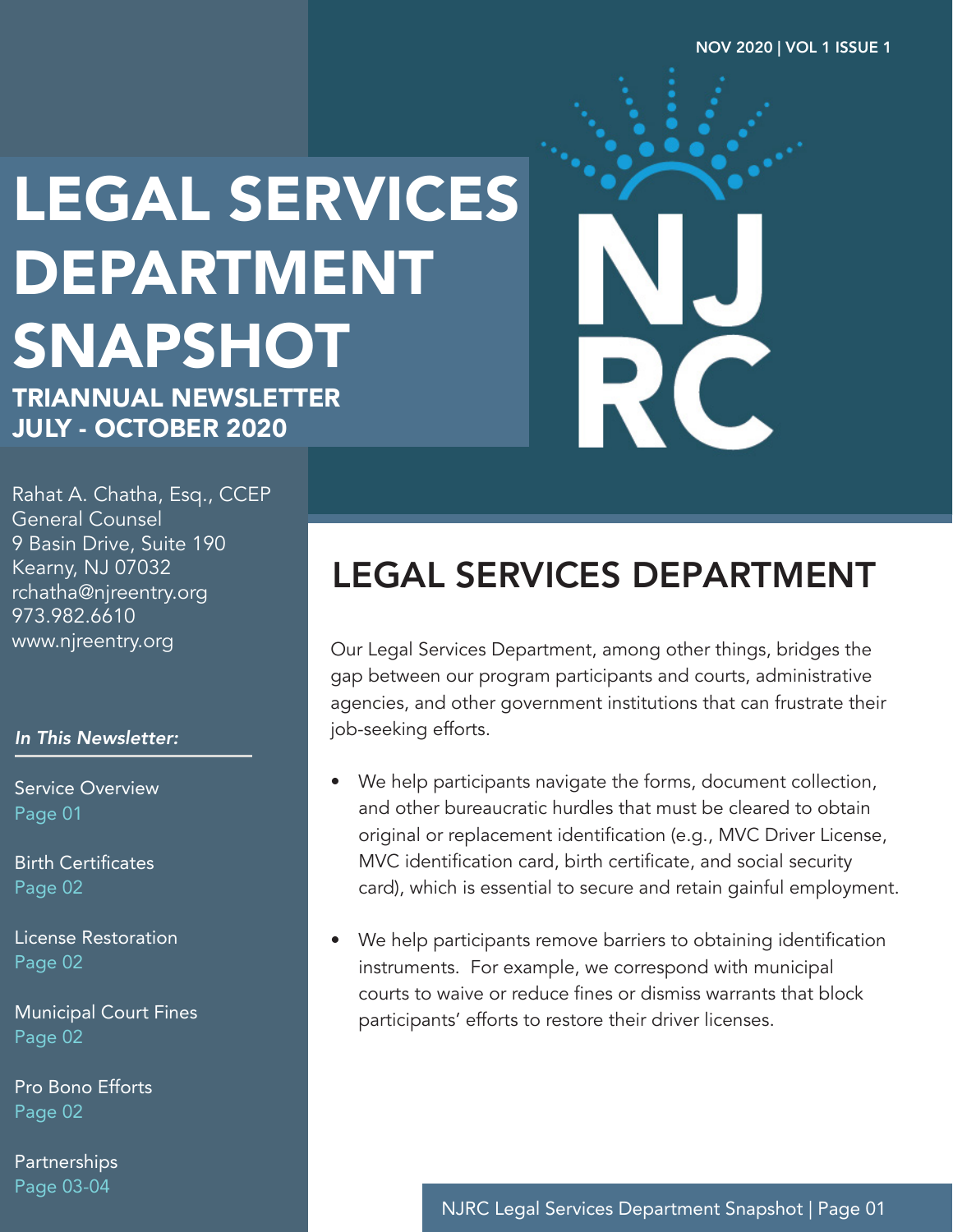# LEGAL SERVICES DEPARTMENT SNAPSHOT

TRIANNUAL NEWSLETTER JULY - OCTOBER 2020

Rahat A. Chatha, Esq., CCEP General Counsel 9 Basin Drive, Suite 190 Kearny, NJ 07032 rchatha@njreentry.org 973.982.6610 www.njreentry.org

#### *In This Newsletter:*

Service Overview Page 01

Birth Certificates Page 02

License Restoration Page 02

Municipal Court Fines Page 02

Pro Bono Efforts Page 02

**Partnerships** Page 03-04

#### LEGAL SERVICES DEPARTMENT

Our Legal Services Department, among other things, bridges the gap between our program participants and courts, administrative agencies, and other government institutions that can frustrate their job-seeking efforts.

- We help participants navigate the forms, document collection, and other bureaucratic hurdles that must be cleared to obtain original or replacement identification (e.g., MVC Driver License, MVC identification card, birth certificate, and social security card), which is essential to secure and retain gainful employment.
- We help participants remove barriers to obtaining identification instruments. For example, we correspond with municipal courts to waive or reduce fines or dismiss warrants that block participants' efforts to restore their driver licenses.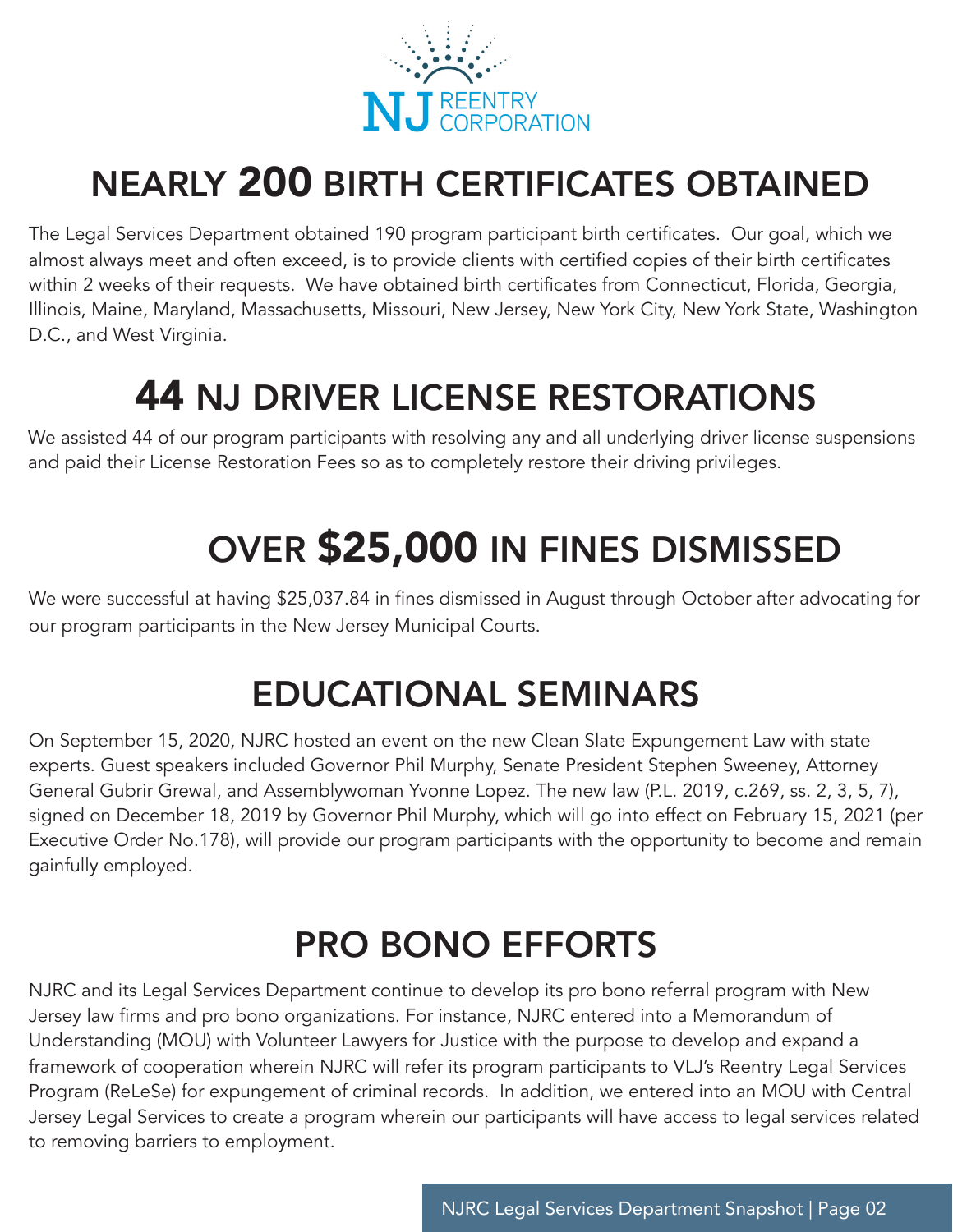

### NEARLY 200 BIRTH CERTIFICATES OBTAINED

The Legal Services Department obtained 190 program participant birth certificates. Our goal, which we almost always meet and often exceed, is to provide clients with certified copies of their birth certificates within 2 weeks of their requests. We have obtained birth certificates from Connecticut, Florida, Georgia, Illinois, Maine, Maryland, Massachusetts, Missouri, New Jersey, New York City, New York State, Washington D.C., and West Virginia.

#### 44 NJ DRIVER LICENSE RESTORATIONS

We assisted 44 of our program participants with resolving any and all underlying driver license suspensions and paid their License Restoration Fees so as to completely restore their driving privileges.

## OVER \$25,000 IN FINES DISMISSED

We were successful at having \$25,037.84 in fines dismissed in August through October after advocating for our program participants in the New Jersey Municipal Courts.

#### EDUCATIONAL SEMINARS

On September 15, 2020, NJRC hosted an event on the new Clean Slate Expungement Law with state experts. Guest speakers included Governor Phil Murphy, Senate President Stephen Sweeney, Attorney General Gubrir Grewal, and Assemblywoman Yvonne Lopez. The new law (P.L. 2019, c.269, ss. 2, 3, 5, 7), signed on December 18, 2019 by Governor Phil Murphy, which will go into effect on February 15, 2021 (per Executive Order No.178), will provide our program participants with the opportunity to become and remain gainfully employed.

### PRO BONO EFFORTS

NJRC and its Legal Services Department continue to develop its pro bono referral program with New Jersey law firms and pro bono organizations. For instance, NJRC entered into a Memorandum of Understanding (MOU) with Volunteer Lawyers for Justice with the purpose to develop and expand a framework of cooperation wherein NJRC will refer its program participants to VLJ's Reentry Legal Services Program (ReLeSe) for expungement of criminal records. In addition, we entered into an MOU with Central Jersey Legal Services to create a program wherein our participants will have access to legal services related to removing barriers to employment.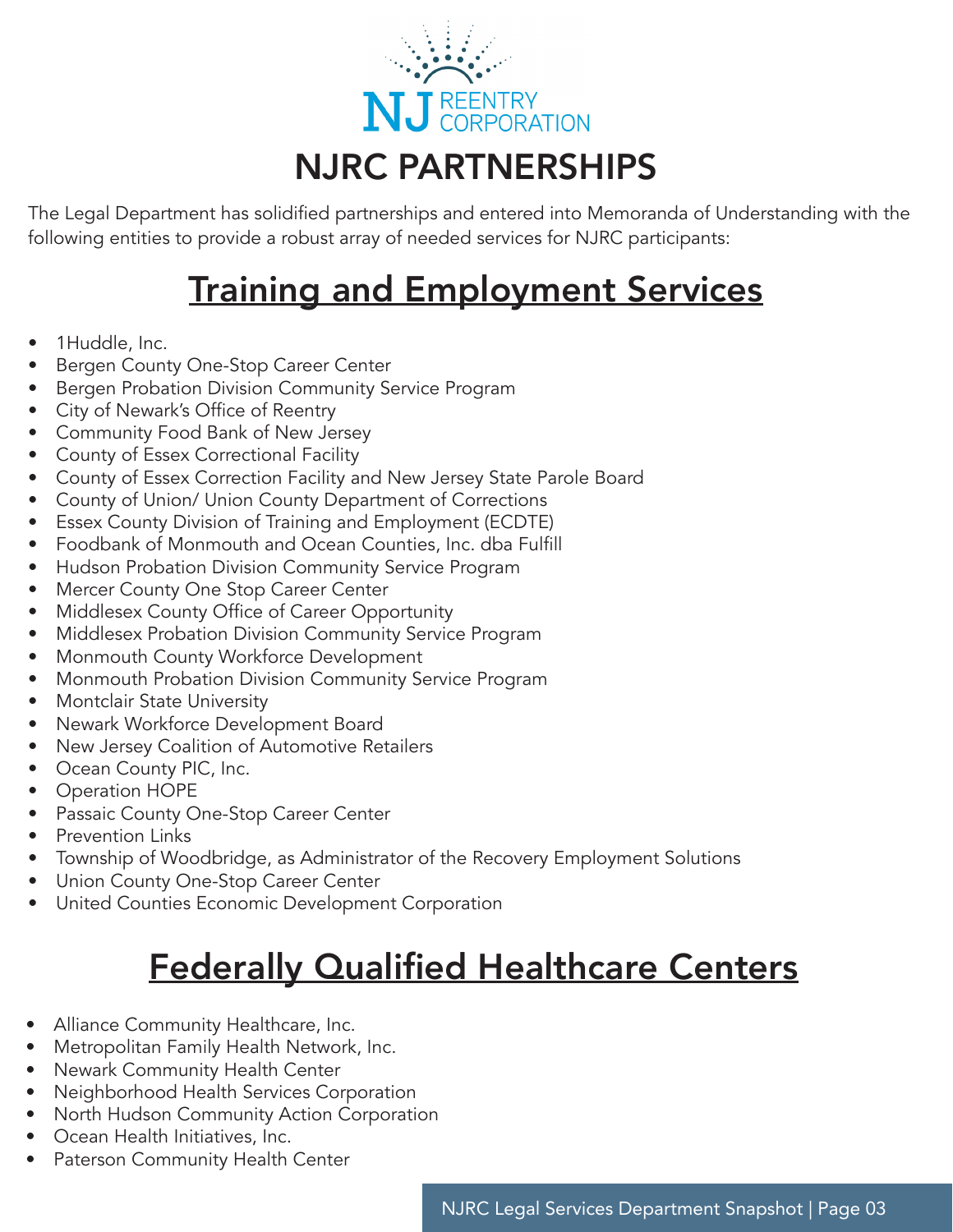

The Legal Department has solidified partnerships and entered into Memoranda of Understanding with the following entities to provide a robust array of needed services for NJRC participants:

#### Training and Employment Services

- 1Huddle, Inc.
- Bergen County One-Stop Career Center
- Bergen Probation Division Community Service Program
- City of Newark's Office of Reentry
- Community Food Bank of New Jersey
- County of Essex Correctional Facility
- County of Essex Correction Facility and New Jersey State Parole Board
- County of Union/ Union County Department of Corrections
- Essex County Division of Training and Employment (ECDTE)
- Foodbank of Monmouth and Ocean Counties, Inc. dba Fulfill
- Hudson Probation Division Community Service Program
- Mercer County One Stop Career Center
- Middlesex County Office of Career Opportunity
- Middlesex Probation Division Community Service Program
- Monmouth County Workforce Development
- Monmouth Probation Division Community Service Program
- Montclair State University
- Newark Workforce Development Board
- New Jersey Coalition of Automotive Retailers
- Ocean County PIC, Inc.
- Operation HOPE
- Passaic County One-Stop Career Center
- Prevention Links
- Township of Woodbridge, as Administrator of the Recovery Employment Solutions
- Union County One-Stop Career Center
- United Counties Economic Development Corporation

#### Federally Qualified Healthcare Centers

- Alliance Community Healthcare, Inc.
- Metropolitan Family Health Network, Inc.
- Newark Community Health Center
- Neighborhood Health Services Corporation
- North Hudson Community Action Corporation
- Ocean Health Initiatives, Inc.
- Paterson Community Health Center